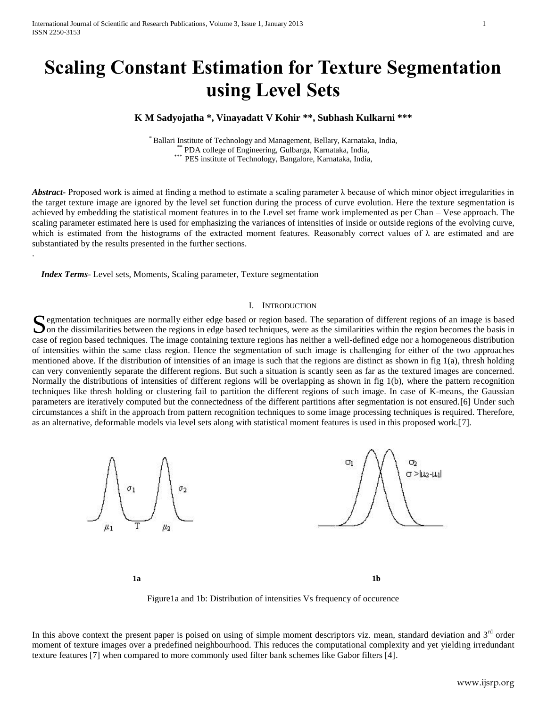# **Scaling Constant Estimation for Texture Segmentation using Level Sets**

## **K M Sadyojatha \*, Vinayadatt V Kohir \*\*, Subhash Kulkarni \*\*\***

\* Ballari Institute of Technology and Management, Bellary, Karnataka, India, PDA college of Engineering, Gulbarga, Karnataka, India, \*\*\* PES institute of Technology, Bangalore, Karnataka, India,

*Abstract***-** Proposed work is aimed at finding a method to estimate a scaling parameter λ because of which minor object irregularities in the target texture image are ignored by the level set function during the process of curve evolution. Here the texture segmentation is achieved by embedding the statistical moment features in to the Level set frame work implemented as per Chan – Vese approach. The scaling parameter estimated here is used for emphasizing the variances of intensities of inside or outside regions of the evolving curve, which is estimated from the histograms of the extracted moment features. Reasonably correct values of  $\lambda$  are estimated and are substantiated by the results presented in the further sections.

 *Index Terms*- Level sets, Moments, Scaling parameter, Texture segmentation

.

#### I. INTRODUCTION

Segmentation techniques are normally either edge based or region based. The separation of different regions of an image is based on the dissimilarities between the regions in edge based techniques, were as the similarities  $\Box$  on the dissimilarities between the regions in edge based techniques, were as the similarities within the region becomes the basis in case of region based techniques. The image containing texture regions has neither a well-defined edge nor a homogeneous distribution of intensities within the same class region. Hence the segmentation of such image is challenging for either of the two approaches mentioned above. If the distribution of intensities of an image is such that the regions are distinct as shown in fig 1(a), thresh holding can very conveniently separate the different regions. But such a situation is scantly seen as far as the textured images are concerned. Normally the distributions of intensities of different regions will be overlapping as shown in fig 1(b), where the pattern recognition techniques like thresh holding or clustering fail to partition the different regions of such image. In case of K-means, the Gaussian parameters are iteratively computed but the connectedness of the different partitions after segmentation is not ensured.[6] Under such circumstances a shift in the approach from pattern recognition techniques to some image processing techniques is required. Therefore, as an alternative, deformable models via level sets along with statistical moment features is used in this proposed work.[7].



Figure1a and 1b: Distribution of intensities Vs frequency of occurence

In this above context the present paper is poised on using of simple moment descriptors viz. mean, standard deviation and  $3<sup>rd</sup>$  order moment of texture images over a predefined neighbourhood. This reduces the computational complexity and yet yielding irredundant texture features [7] when compared to more commonly used filter bank schemes like Gabor filters [4].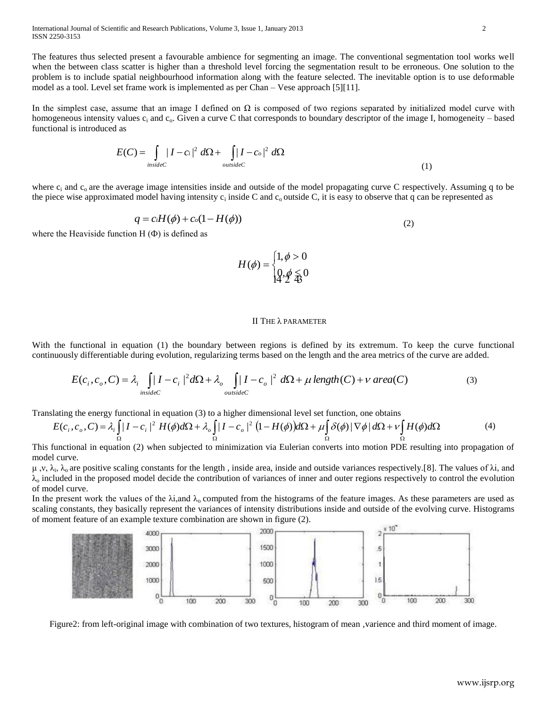International Journal of Scientific and Research Publications, Volume 3, Issue 1, January 2013 2 ISSN 2250-3153

The features thus selected present a favourable ambience for segmenting an image. The conventional segmentation tool works well when the between class scatter is higher than a threshold level forcing the segmentation result to be erroneous. One solution to the problem is to include spatial neighbourhood information along with the feature selected. The inevitable option is to use deformable model as a tool. Level set frame work is implemented as per Chan – Vese approach [5][11].

In the simplest case, assume that an image I defined on  $\Omega$  is composed of two regions separated by initialized model curve with homogeneous intensity values  $c_i$  and  $c_o$ . Given a curve C that corresponds to boundary descriptor of the image I, homogeneity – based functional is introduced as

$$
E(C) = \int_{insideC} |I - c_i|^2 d\Omega + \int_{outsideC} |I - c_o|^2 d\Omega
$$
\n(1)

where  $c_i$  and  $c_o$  are the average image intensities inside and outside of the model propagating curve C respectively. Assuming q to be the piece wise approximated model having intensity  $c_i$  inside C and  $c_o$  outside C, it is easy to observe that q can be represented as

$$
q = c_i H(\phi) + c_o (1 - H(\phi))
$$
\n<sup>(2)</sup>

where the Heaviside function  $H(\Phi)$  is defined as

$$
H(\phi) = \begin{cases} 1, \phi > 0 \\ 0, \phi \leq 0 \end{cases}
$$

#### II THE λ PARAMETER

With the functional in equation (1) the boundary between regions is defined by its extremum. To keep the curve functional continuously differentiable during evolution, regularizing terms based on the length and the area metrics of the curve are added.

$$
E(c_i, c_o, C) = \lambda_i \int_{insideC} |I - c_i|^2 d\Omega + \lambda_o \int_{outsideC} |I - c_o|^2 d\Omega + \mu \operatorname{length}(C) + \nu \operatorname{area}(C)
$$
 (3)

Translating the energy functional in equation (3) to a higher dimensional level set function, one obtains

$$
E(c_i, c_o, C) = \lambda_i \int_{\Omega} |I - c_i|^2 H(\phi) d\Omega + \lambda_o \int_{\Omega} |I - c_o|^2 (1 - H(\phi)) d\Omega + \mu \int_{\Omega} \delta(\phi) |\nabla \phi| d\Omega + \nu \int_{\Omega} H(\phi) d\Omega
$$
 (4)

This functional in equation (2) when subjected to minimization via Eulerian converts into motion PDE resulting into propagation of model curve.

μ, ν, λ<sub>i</sub>, λ<sub>o</sub> are positive scaling constants for the length, inside area, inside and outside variances respectively.[8]. The values of λi, and  $\lambda_0$  included in the proposed model decide the contribution of variances of inner and outer regions respectively to control the evolution of model curve.

In the present work the values of the  $\lambda i$ , and  $\lambda_0$  computed from the histograms of the feature images. As these parameters are used as scaling constants, they basically represent the variances of intensity distributions inside and outside of the evolving curve. Histograms of moment feature of an example texture combination are shown in figure (2).



Figure2: from left-original image with combination of two textures, histogram of mean ,varience and third moment of image.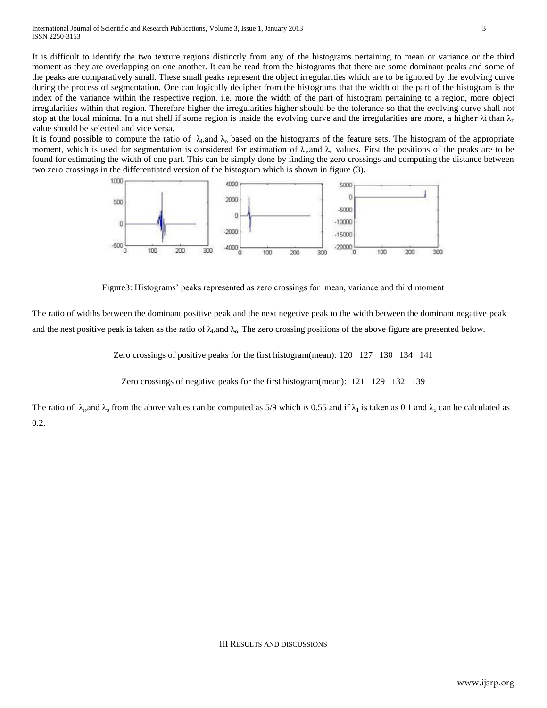It is difficult to identify the two texture regions distinctly from any of the histograms pertaining to mean or variance or the third moment as they are overlapping on one another. It can be read from the histograms that there are some dominant peaks and some of the peaks are comparatively small. These small peaks represent the object irregularities which are to be ignored by the evolving curve during the process of segmentation. One can logically decipher from the histograms that the width of the part of the histogram is the index of the variance within the respective region. i.e. more the width of the part of histogram pertaining to a region, more object irregularities within that region. Therefore higher the irregularities higher should be the tolerance so that the evolving curve shall not stop at the local minima. In a nut shell if some region is inside the evolving curve and the irregularities are more, a higher  $\lambda$ i than  $\lambda_0$ value should be selected and vice versa.

It is found possible to compute the ratio of  $\lambda_i$ , and  $\lambda_o$  based on the histograms of the feature sets. The histogram of the appropriate moment, which is used for segmentation is considered for estimation of  $\lambda_i$ , and  $\lambda_o$  values. First the positions of the peaks are to be found for estimating the width of one part. This can be simply done by finding the zero crossings and computing the distance between two zero crossings in the differentiated version of the histogram which is shown in figure (3).



Figure3: Histograms' peaks represented as zero crossings for mean, variance and third moment

The ratio of widths between the dominant positive peak and the next negetive peak to the width between the dominant negative peak and the nest positive peak is taken as the ratio of  $\lambda_i$ , and  $\lambda_o$ . The zero crossing positions of the above figure are presented below.

Zero crossings of positive peaks for the first histogram(mean): 120 127 130 134 141

Zero crossings of negative peaks for the first histogram(mean): 121 129 132 139

The ratio of  $\lambda_i$ , and  $\lambda_o$  from the above values can be computed as 5/9 which is 0.55 and if  $\lambda_1$  is taken as 0.1 and  $\lambda_o$  can be calculated as 0.2.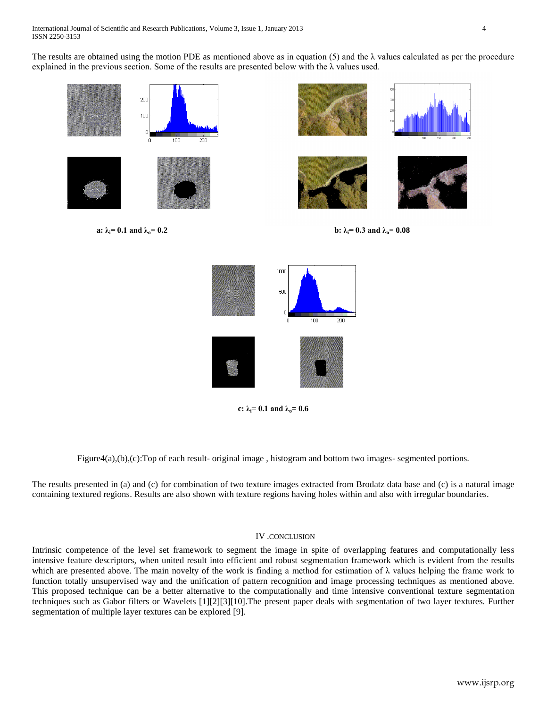The results are obtained using the motion PDE as mentioned above as in equation (5) and the  $\lambda$  values calculated as per the procedure explained in the previous section. Some of the results are presented below with the λ values used.





**c:**  $\lambda_i = 0.1$  and  $\lambda_o = 0.6$ 

Figure4(a),(b),(c):Top of each result- original image, histogram and bottom two images- segmented portions.

The results presented in (a) and (c) for combination of two texture images extracted from Brodatz data base and (c) is a natural image containing textured regions. Results are also shown with texture regions having holes within and also with irregular boundaries.

### IV .CONCLUSION

Intrinsic competence of the level set framework to segment the image in spite of overlapping features and computationally less intensive feature descriptors, when united result into efficient and robust segmentation framework which is evident from the results which are presented above. The main novelty of the work is finding a method for estimation of  $\lambda$  values helping the frame work to function totally unsupervised way and the unification of pattern recognition and image processing techniques as mentioned above. This proposed technique can be a better alternative to the computationally and time intensive conventional texture segmentation techniques such as Gabor filters or Wavelets [1][2][3][10].The present paper deals with segmentation of two layer textures. Further segmentation of multiple layer textures can be explored [9].